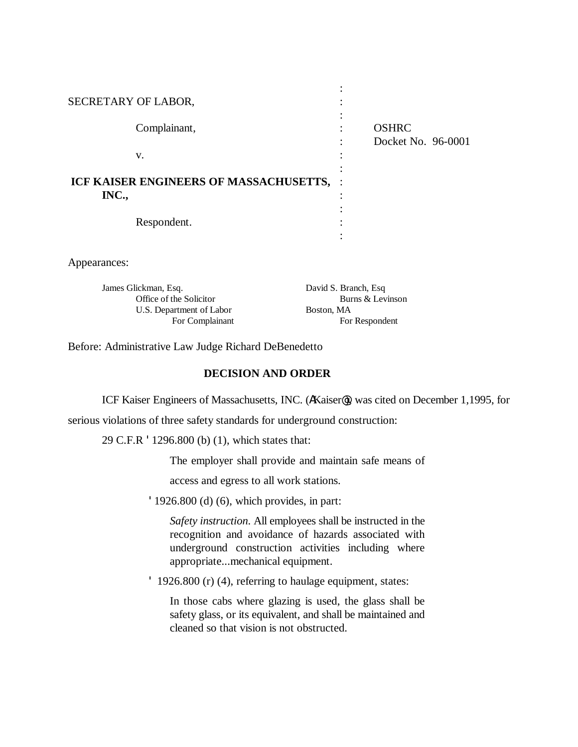| SECRETARY OF LABOR,                               |              |                                    |
|---------------------------------------------------|--------------|------------------------------------|
|                                                   | Complainant, | <b>OSHRC</b><br>Docket No. 96-0001 |
|                                                   | V.           |                                    |
| ICF KAISER ENGINEERS OF MASSACHUSETTS, :<br>INC., |              |                                    |
|                                                   | Respondent.  |                                    |
| bearances:                                        |              |                                    |

| James Glickman, Esq.     | David S. Branch, Esq. |  |
|--------------------------|-----------------------|--|
| Office of the Solicitor  | Burns & Levinson      |  |
| U.S. Department of Labor | Boston, MA            |  |
| For Complainant          | For Respondent        |  |

Before: Administrative Law Judge Richard DeBenedetto

## **DECISION AND ORDER**

ICF Kaiser Engineers of Massachusetts, INC. (AKaiser@), was cited on December 1,1995, for

serious violations of three safety standards for underground construction:

29 C.F.R '1296.800 (b) (1), which states that:

The employer shall provide and maintain safe means of

access and egress to all work stations.

'1926.800 (d) (6), which provides, in part:

*Safety instruction*. All employees shall be instructed in the recognition and avoidance of hazards associated with underground construction activities including where appropriate...mechanical equipment.

' 1926.800 (r) (4), referring to haulage equipment, states:

In those cabs where glazing is used, the glass shall be safety glass, or its equivalent, and shall be maintained and cleaned so that vision is not obstructed.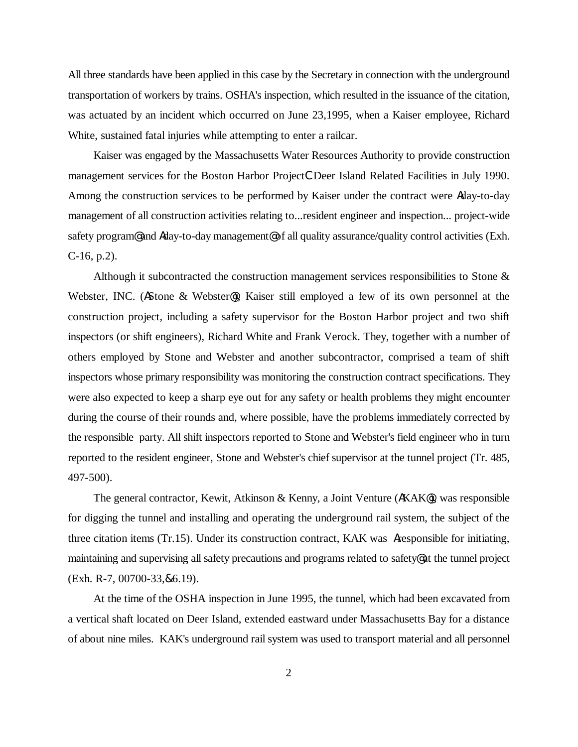All three standards have been applied in this case by the Secretary in connection with the underground transportation of workers by trains. OSHA's inspection, which resulted in the issuance of the citation, was actuated by an incident which occurred on June 23,1995, when a Kaiser employee, Richard White, sustained fatal injuries while attempting to enter a railcar.

Kaiser was engaged by the Massachusetts Water Resources Authority to provide construction management services for the Boston Harbor ProjectCDeer Island Related Facilities in July 1990. Among the construction services to be performed by Kaiser under the contract were Aday-to-day management of all construction activities relating to...resident engineer and inspection... project-wide safety program@ and Aday-to-day management@ of all quality assurance/quality control activities (Exh. C-16, p.2).

Although it subcontracted the construction management services responsibilities to Stone & Webster, INC. (AStone & Webster@), Kaiser still employed a few of its own personnel at the construction project, including a safety supervisor for the Boston Harbor project and two shift inspectors (or shift engineers), Richard White and Frank Verock. They, together with a number of others employed by Stone and Webster and another subcontractor, comprised a team of shift inspectors whose primary responsibility was monitoring the construction contract specifications. They were also expected to keep a sharp eye out for any safety or health problems they might encounter during the course of their rounds and, where possible, have the problems immediately corrected by the responsible party. All shift inspectors reported to Stone and Webster's field engineer who in turn reported to the resident engineer, Stone and Webster's chief supervisor at the tunnel project (Tr. 485, 497-500).

The general contractor, Kewit, Atkinson & Kenny, a Joint Venture (AKAK@), was responsible for digging the tunnel and installing and operating the underground rail system, the subject of the three citation items (Tr.15). Under its construction contract, KAK was Aresponsible for initiating, maintaining and supervising all safety precautions and programs related to safety@ at the tunnel project (Exh. R-7, 00700-33,&6.19).

At the time of the OSHA inspection in June 1995, the tunnel, which had been excavated from a vertical shaft located on Deer Island, extended eastward under Massachusetts Bay for a distance of about nine miles. KAK's underground rail system was used to transport material and all personnel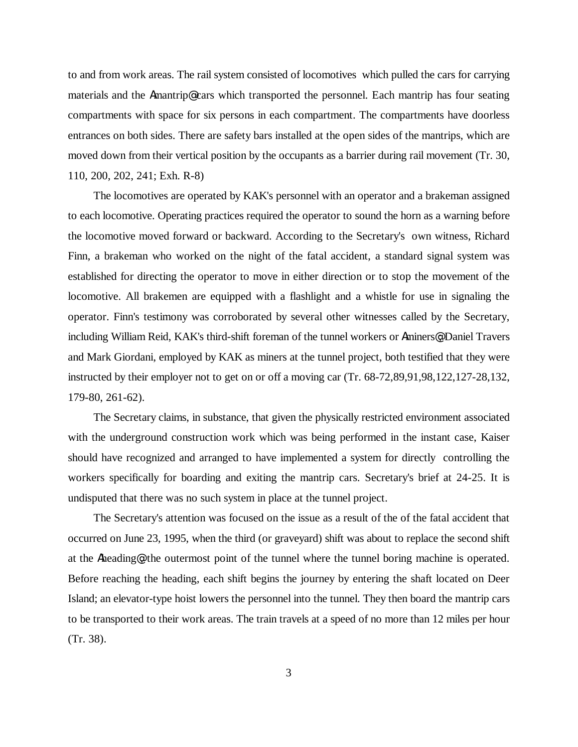to and from work areas. The rail system consisted of locomotives which pulled the cars for carrying materials and the Amantrip@ cars which transported the personnel. Each mantrip has four seating compartments with space for six persons in each compartment. The compartments have doorless entrances on both sides. There are safety bars installed at the open sides of the mantrips, which are moved down from their vertical position by the occupants as a barrier during rail movement (Tr. 30, 110, 200, 202, 241; Exh. R-8)

The locomotives are operated by KAK's personnel with an operator and a brakeman assigned to each locomotive. Operating practices required the operator to sound the horn as a warning before the locomotive moved forward or backward. According to the Secretary's own witness, Richard Finn, a brakeman who worked on the night of the fatal accident, a standard signal system was established for directing the operator to move in either direction or to stop the movement of the locomotive. All brakemen are equipped with a flashlight and a whistle for use in signaling the operator. Finn's testimony was corroborated by several other witnesses called by the Secretary, including William Reid, KAK's third-shift foreman of the tunnel workers or Aminers@; Daniel Travers and Mark Giordani, employed by KAK as miners at the tunnel project, both testified that they were instructed by their employer not to get on or off a moving car (Tr. 68-72,89,91,98,122,127-28,132, 179-80, 261-62).

The Secretary claims, in substance, that given the physically restricted environment associated with the underground construction work which was being performed in the instant case, Kaiser should have recognized and arranged to have implemented a system for directly controlling the workers specifically for boarding and exiting the mantrip cars. Secretary's brief at 24-25. It is undisputed that there was no such system in place at the tunnel project.

The Secretary's attention was focused on the issue as a result of the of the fatal accident that occurred on June 23, 1995, when the third (or graveyard) shift was about to replace the second shift at the Aheading@, the outermost point of the tunnel where the tunnel boring machine is operated. Before reaching the heading, each shift begins the journey by entering the shaft located on Deer Island; an elevator-type hoist lowers the personnel into the tunnel. They then board the mantrip cars to be transported to their work areas. The train travels at a speed of no more than 12 miles per hour (Tr. 38).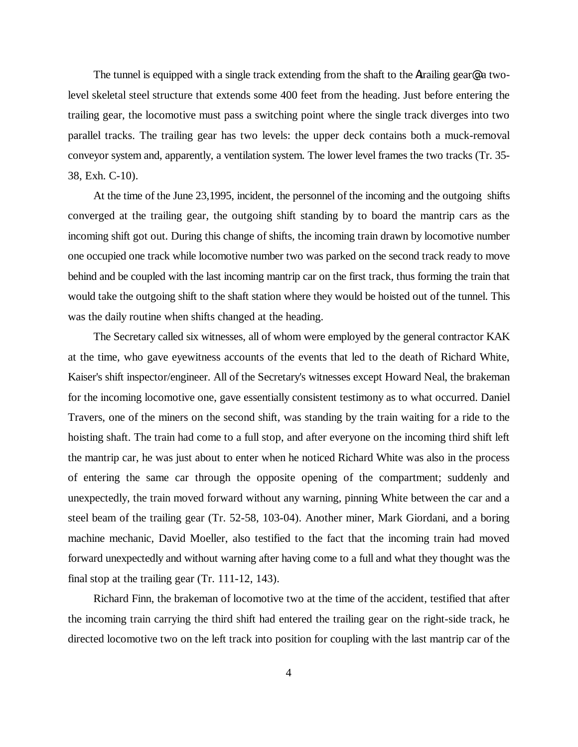The tunnel is equipped with a single track extending from the shaft to the Atrailing gear<sup>o</sup> a twolevel skeletal steel structure that extends some 400 feet from the heading. Just before entering the trailing gear, the locomotive must pass a switching point where the single track diverges into two parallel tracks. The trailing gear has two levels: the upper deck contains both a muck-removal conveyor system and, apparently, a ventilation system. The lower level frames the two tracks (Tr. 35- 38, Exh. C-10).

At the time of the June 23,1995, incident, the personnel of the incoming and the outgoing shifts converged at the trailing gear, the outgoing shift standing by to board the mantrip cars as the incoming shift got out. During this change of shifts, the incoming train drawn by locomotive number one occupied one track while locomotive number two was parked on the second track ready to move behind and be coupled with the last incoming mantrip car on the first track, thus forming the train that would take the outgoing shift to the shaft station where they would be hoisted out of the tunnel. This was the daily routine when shifts changed at the heading.

The Secretary called six witnesses, all of whom were employed by the general contractor KAK at the time, who gave eyewitness accounts of the events that led to the death of Richard White, Kaiser's shift inspector/engineer. All of the Secretary's witnesses except Howard Neal, the brakeman for the incoming locomotive one, gave essentially consistent testimony as to what occurred. Daniel Travers, one of the miners on the second shift, was standing by the train waiting for a ride to the hoisting shaft. The train had come to a full stop, and after everyone on the incoming third shift left the mantrip car, he was just about to enter when he noticed Richard White was also in the process of entering the same car through the opposite opening of the compartment; suddenly and unexpectedly, the train moved forward without any warning, pinning White between the car and a steel beam of the trailing gear (Tr. 52-58, 103-04). Another miner, Mark Giordani, and a boring machine mechanic, David Moeller, also testified to the fact that the incoming train had moved forward unexpectedly and without warning after having come to a full and what they thought was the final stop at the trailing gear (Tr. 111-12, 143).

Richard Finn, the brakeman of locomotive two at the time of the accident, testified that after the incoming train carrying the third shift had entered the trailing gear on the right-side track, he directed locomotive two on the left track into position for coupling with the last mantrip car of the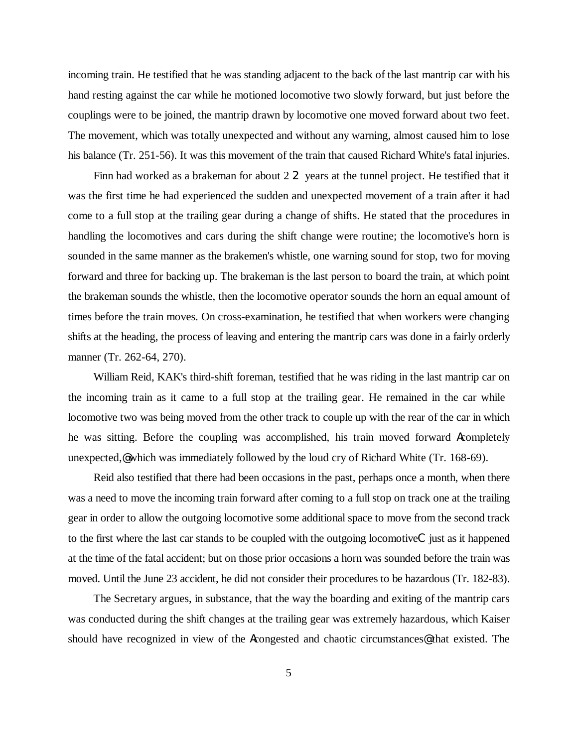incoming train. He testified that he was standing adjacent to the back of the last mantrip car with his hand resting against the car while he motioned locomotive two slowly forward, but just before the couplings were to be joined, the mantrip drawn by locomotive one moved forward about two feet. The movement, which was totally unexpected and without any warning, almost caused him to lose his balance (Tr. 251-56). It was this movement of the train that caused Richard White's fatal injuries.

Finn had worked as a brakeman for about 2 2 years at the tunnel project. He testified that it was the first time he had experienced the sudden and unexpected movement of a train after it had come to a full stop at the trailing gear during a change of shifts. He stated that the procedures in handling the locomotives and cars during the shift change were routine; the locomotive's horn is sounded in the same manner as the brakemen's whistle, one warning sound for stop, two for moving forward and three for backing up. The brakeman is the last person to board the train, at which point the brakeman sounds the whistle, then the locomotive operator sounds the horn an equal amount of times before the train moves. On cross-examination, he testified that when workers were changing shifts at the heading, the process of leaving and entering the mantrip cars was done in a fairly orderly manner (Tr. 262-64, 270).

William Reid, KAK's third-shift foreman, testified that he was riding in the last mantrip car on the incoming train as it came to a full stop at the trailing gear. He remained in the car while locomotive two was being moved from the other track to couple up with the rear of the car in which he was sitting. Before the coupling was accomplished, his train moved forward Acompletely unexpected,@which was immediately followed by the loud cry of Richard White (Tr. 168-69).

Reid also testified that there had been occasions in the past, perhaps once a month, when there was a need to move the incoming train forward after coming to a full stop on track one at the trailing gear in order to allow the outgoing locomotive some additional space to move from the second track to the first where the last car stands to be coupled with the outgoing locomotiveC just as it happened at the time of the fatal accident; but on those prior occasions a horn was sounded before the train was moved. Until the June 23 accident, he did not consider their procedures to be hazardous (Tr. 182-83).

The Secretary argues, in substance, that the way the boarding and exiting of the mantrip cars was conducted during the shift changes at the trailing gear was extremely hazardous, which Kaiser should have recognized in view of the Acongested and chaotic circumstances@ that existed. The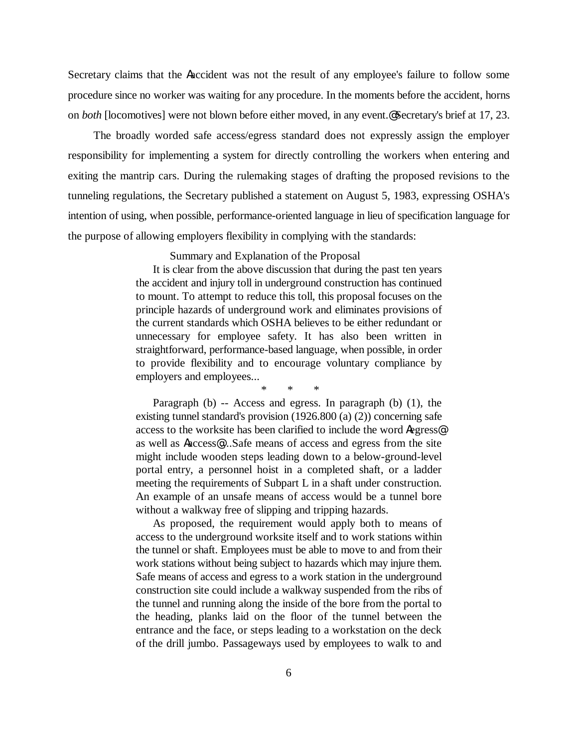Secretary claims that the Aaccident was not the result of any employee's failure to follow some procedure since no worker was waiting for any procedure. In the moments before the accident, horns on *both* [locomotives] were not blown before either moved, in any event.@ Secretary's brief at 17, 23.

The broadly worded safe access/egress standard does not expressly assign the employer responsibility for implementing a system for directly controlling the workers when entering and exiting the mantrip cars. During the rulemaking stages of drafting the proposed revisions to the tunneling regulations, the Secretary published a statement on August 5, 1983, expressing OSHA's intention of using, when possible, performance-oriented language in lieu of specification language for the purpose of allowing employers flexibility in complying with the standards:

Summary and Explanation of the Proposal

It is clear from the above discussion that during the past ten years the accident and injury toll in underground construction has continued to mount. To attempt to reduce this toll, this proposal focuses on the principle hazards of underground work and eliminates provisions of the current standards which OSHA believes to be either redundant or unnecessary for employee safety. It has also been written in straightforward, performance-based language, when possible, in order to provide flexibility and to encourage voluntary compliance by employers and employees...

\* \* \*

Paragraph (b) -- Access and egress. In paragraph (b) (1), the existing tunnel standard's provision (1926.800 (a) (2)) concerning safe access to the worksite has been clarified to include the word Aegress@ as well as Aaccess@....Safe means of access and egress from the site might include wooden steps leading down to a below-ground-level portal entry, a personnel hoist in a completed shaft, or a ladder meeting the requirements of Subpart L in a shaft under construction. An example of an unsafe means of access would be a tunnel bore without a walkway free of slipping and tripping hazards.

As proposed, the requirement would apply both to means of access to the underground worksite itself and to work stations within the tunnel or shaft. Employees must be able to move to and from their work stations without being subject to hazards which may injure them. Safe means of access and egress to a work station in the underground construction site could include a walkway suspended from the ribs of the tunnel and running along the inside of the bore from the portal to the heading, planks laid on the floor of the tunnel between the entrance and the face, or steps leading to a workstation on the deck of the drill jumbo. Passageways used by employees to walk to and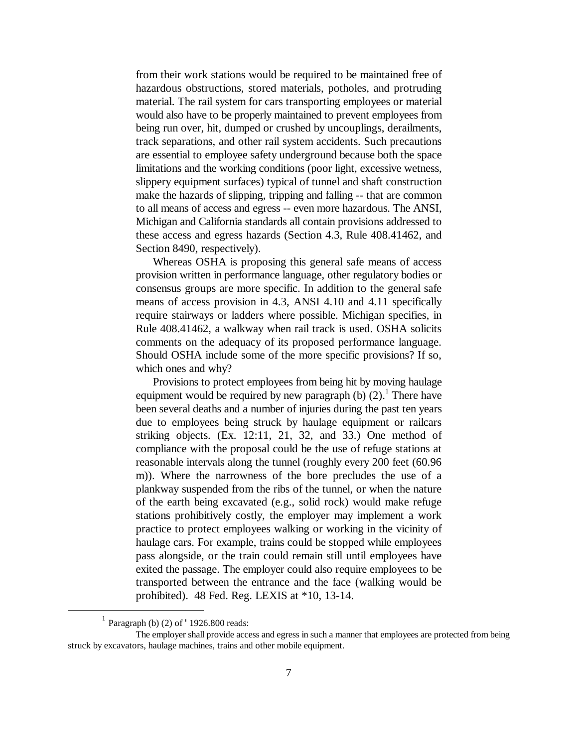from their work stations would be required to be maintained free of hazardous obstructions, stored materials, potholes, and protruding material. The rail system for cars transporting employees or material would also have to be properly maintained to prevent employees from being run over, hit, dumped or crushed by uncouplings, derailments, track separations, and other rail system accidents. Such precautions are essential to employee safety underground because both the space limitations and the working conditions (poor light, excessive wetness, slippery equipment surfaces) typical of tunnel and shaft construction make the hazards of slipping, tripping and falling -- that are common to all means of access and egress -- even more hazardous. The ANSI, Michigan and California standards all contain provisions addressed to these access and egress hazards (Section 4.3, Rule 408.41462, and Section 8490, respectively).

Whereas OSHA is proposing this general safe means of access provision written in performance language, other regulatory bodies or consensus groups are more specific. In addition to the general safe means of access provision in 4.3, ANSI 4.10 and 4.11 specifically require stairways or ladders where possible. Michigan specifies, in Rule 408.41462, a walkway when rail track is used. OSHA solicits comments on the adequacy of its proposed performance language. Should OSHA include some of the more specific provisions? If so, which ones and why?

Provisions to protect employees from being hit by moving haulage equipment would be required by new paragraph (b)  $(2)$ .<sup>1</sup> There have been several deaths and a number of injuries during the past ten years due to employees being struck by haulage equipment or railcars striking objects. (Ex. 12:11, 21, 32, and 33.) One method of compliance with the proposal could be the use of refuge stations at reasonable intervals along the tunnel (roughly every 200 feet (60.96 m)). Where the narrowness of the bore precludes the use of a plankway suspended from the ribs of the tunnel, or when the nature of the earth being excavated (e.g., solid rock) would make refuge stations prohibitively costly, the employer may implement a work practice to protect employees walking or working in the vicinity of haulage cars. For example, trains could be stopped while employees pass alongside, or the train could remain still until employees have exited the passage. The employer could also require employees to be transported between the entrance and the face (walking would be prohibited). 48 Fed. Reg. LEXIS at \*10, 13-14.

 $\overline{a}$ 

<sup>1</sup> Paragraph (b) (2) of '1926.800 reads:

The employer shall provide access and egress in such a manner that employees are protected from being struck by excavators, haulage machines, trains and other mobile equipment.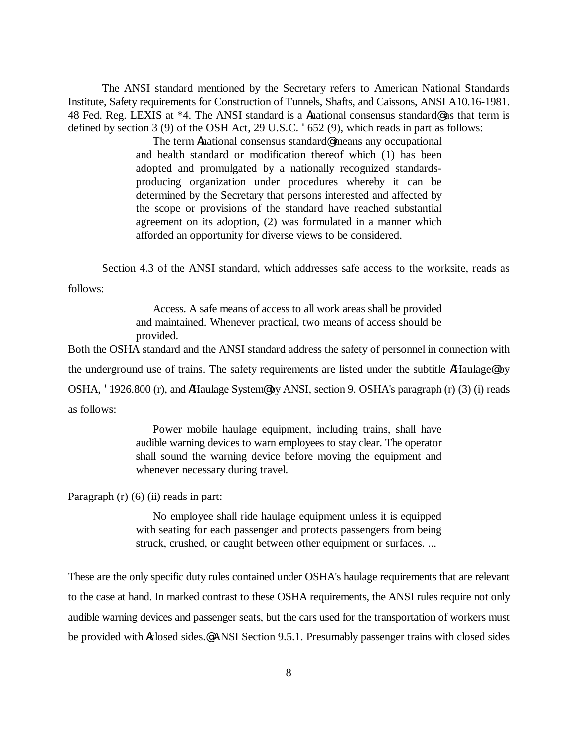The ANSI standard mentioned by the Secretary refers to American National Standards Institute, Safety requirements for Construction of Tunnels, Shafts, and Caissons, ANSI A10.16-1981. 48 Fed. Reg. LEXIS at \*4. The ANSI standard is a Anational consensus standard@ as that term is defined by section 3 (9) of the OSH Act, 29 U.S.C. '652 (9), which reads in part as follows:

> The term Anational consensus standard@ means any occupational and health standard or modification thereof which (1) has been adopted and promulgated by a nationally recognized standardsproducing organization under procedures whereby it can be determined by the Secretary that persons interested and affected by the scope or provisions of the standard have reached substantial agreement on its adoption, (2) was formulated in a manner which afforded an opportunity for diverse views to be considered.

Section 4.3 of the ANSI standard, which addresses safe access to the worksite, reads as follows:

> Access. A safe means of access to all work areas shall be provided and maintained. Whenever practical, two means of access should be provided.

Both the OSHA standard and the ANSI standard address the safety of personnel in connection with the underground use of trains. The safety requirements are listed under the subtitle AHaulage@ by OSHA, '1926.800 (r), and AHaulage System@ by ANSI, section 9. OSHA's paragraph (r) (3) (i) reads

as follows:

Power mobile haulage equipment, including trains, shall have audible warning devices to warn employees to stay clear. The operator shall sound the warning device before moving the equipment and whenever necessary during travel.

Paragraph  $(r)$  (6) (ii) reads in part:

No employee shall ride haulage equipment unless it is equipped with seating for each passenger and protects passengers from being struck, crushed, or caught between other equipment or surfaces. ...

These are the only specific duty rules contained under OSHA's haulage requirements that are relevant to the case at hand. In marked contrast to these OSHA requirements, the ANSI rules require not only audible warning devices and passenger seats, but the cars used for the transportation of workers must be provided with Aclosed sides.@ ANSI Section 9.5.1. Presumably passenger trains with closed sides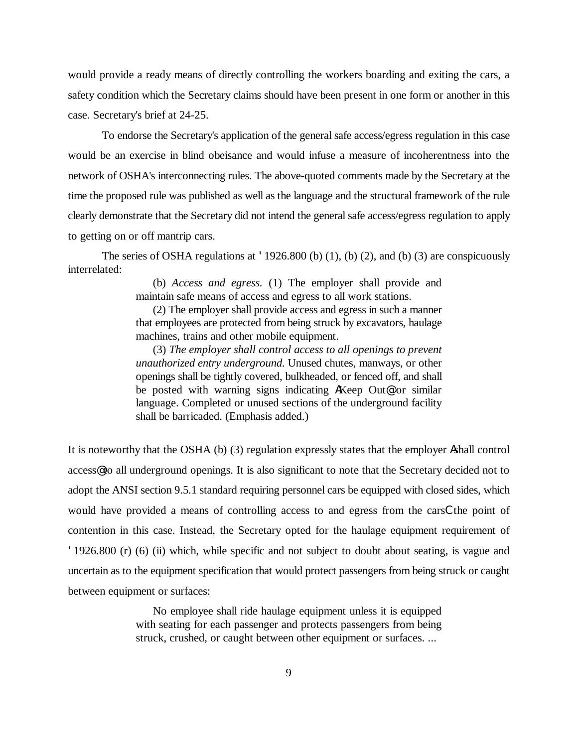would provide a ready means of directly controlling the workers boarding and exiting the cars, a safety condition which the Secretary claims should have been present in one form or another in this case. Secretary's brief at 24-25.

To endorse the Secretary's application of the general safe access/egress regulation in this case would be an exercise in blind obeisance and would infuse a measure of incoherentness into the network of OSHA's interconnecting rules. The above-quoted comments made by the Secretary at the time the proposed rule was published as well as the language and the structural framework of the rule clearly demonstrate that the Secretary did not intend the general safe access/egress regulation to apply to getting on or off mantrip cars.

The series of OSHA regulations at  $\text{1926.800}$  (b) (1), (b) (2), and (b) (3) are conspicuously interrelated:

> (b) *Access and egress.* (1) The employer shall provide and maintain safe means of access and egress to all work stations.

> (2) The employer shall provide access and egress in such a manner that employees are protected from being struck by excavators, haulage machines, trains and other mobile equipment.

> (3) *The employer shall control access to all openings to prevent unauthorized entry underground*. Unused chutes, manways, or other openings shall be tightly covered, bulkheaded, or fenced off, and shall be posted with warning signs indicating AKeep Out@ or similar language. Completed or unused sections of the underground facility shall be barricaded. (Emphasis added.)

It is noteworthy that the OSHA (b) (3) regulation expressly states that the employer Ashall control access@ to all underground openings. It is also significant to note that the Secretary decided not to adopt the ANSI section 9.5.1 standard requiring personnel cars be equipped with closed sides, which would have provided a means of controlling access to and egress from the carsCthe point of contention in this case. Instead, the Secretary opted for the haulage equipment requirement of '1926.800 (r) (6) (ii) which, while specific and not subject to doubt about seating, is vague and uncertain as to the equipment specification that would protect passengers from being struck or caught between equipment or surfaces:

> No employee shall ride haulage equipment unless it is equipped with seating for each passenger and protects passengers from being struck, crushed, or caught between other equipment or surfaces. ...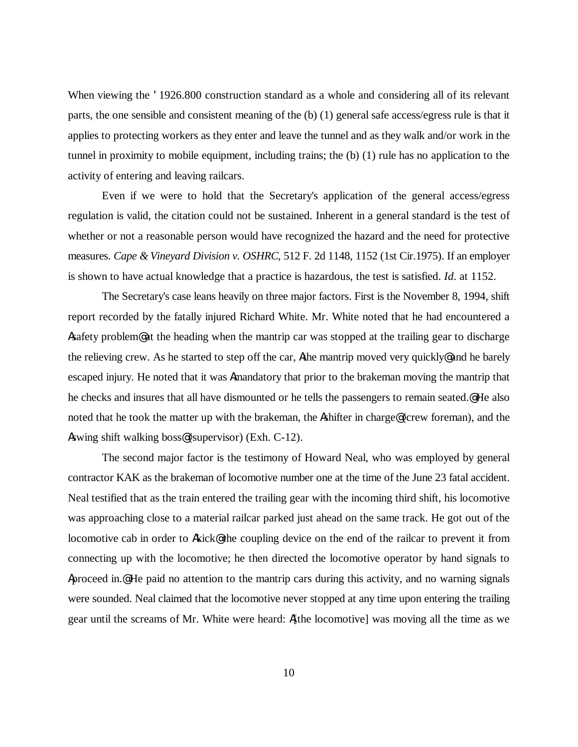When viewing the '1926.800 construction standard as a whole and considering all of its relevant parts, the one sensible and consistent meaning of the (b) (1) general safe access/egress rule is that it applies to protecting workers as they enter and leave the tunnel and as they walk and/or work in the tunnel in proximity to mobile equipment, including trains; the (b) (1) rule has no application to the activity of entering and leaving railcars.

Even if we were to hold that the Secretary's application of the general access/egress regulation is valid, the citation could not be sustained. Inherent in a general standard is the test of whether or not a reasonable person would have recognized the hazard and the need for protective measures. *Cape & Vineyard Division v. OSHRC*, 512 F. 2d 1148, 1152 (1st Cir.1975). If an employer is shown to have actual knowledge that a practice is hazardous, the test is satisfied. *Id*. at 1152.

The Secretary's case leans heavily on three major factors. First is the November 8, 1994, shift report recorded by the fatally injured Richard White. Mr. White noted that he had encountered a Asafety problem@ at the heading when the mantrip car was stopped at the trailing gear to discharge the relieving crew. As he started to step off the car, Athe mantrip moved very quickly@ and he barely escaped injury. He noted that it was Amandatory that prior to the brakeman moving the mantrip that he checks and insures that all have dismounted or he tells the passengers to remain seated.@ He also noted that he took the matter up with the brakeman, the Ashifter in charge@ (crew foreman), and the Aswing shift walking boss@ (supervisor) (Exh. C-12).

The second major factor is the testimony of Howard Neal, who was employed by general contractor KAK as the brakeman of locomotive number one at the time of the June 23 fatal accident. Neal testified that as the train entered the trailing gear with the incoming third shift, his locomotive was approaching close to a material railcar parked just ahead on the same track. He got out of the locomotive cab in order to Akick@ the coupling device on the end of the railcar to prevent it from connecting up with the locomotive; he then directed the locomotive operator by hand signals to Aproceed in.@ He paid no attention to the mantrip cars during this activity, and no warning signals were sounded. Neal claimed that the locomotive never stopped at any time upon entering the trailing gear until the screams of Mr. White were heard: A[the locomotive] was moving all the time as we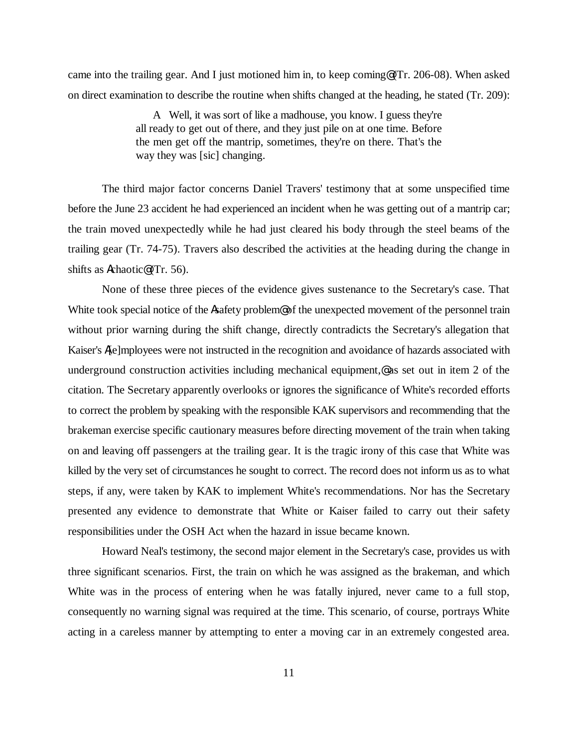came into the trailing gear. And I just motioned him in, to keep coming@ (Tr. 206-08). When asked on direct examination to describe the routine when shifts changed at the heading, he stated (Tr. 209):

> A Well, it was sort of like a madhouse, you know. I guess they're all ready to get out of there, and they just pile on at one time. Before the men get off the mantrip, sometimes, they're on there. That's the way they was [sic] changing.

The third major factor concerns Daniel Travers' testimony that at some unspecified time before the June 23 accident he had experienced an incident when he was getting out of a mantrip car; the train moved unexpectedly while he had just cleared his body through the steel beams of the trailing gear (Tr. 74-75). Travers also described the activities at the heading during the change in shifts as Achaotic@ (Tr. 56).

None of these three pieces of the evidence gives sustenance to the Secretary's case. That White took special notice of the Asafety problem@ of the unexpected movement of the personnel train without prior warning during the shift change, directly contradicts the Secretary's allegation that Kaiser's A[e]mployees were not instructed in the recognition and avoidance of hazards associated with underground construction activities including mechanical equipment, $\mathcal Q$  as set out in item 2 of the citation. The Secretary apparently overlooks or ignores the significance of White's recorded efforts to correct the problem by speaking with the responsible KAK supervisors and recommending that the brakeman exercise specific cautionary measures before directing movement of the train when taking on and leaving off passengers at the trailing gear. It is the tragic irony of this case that White was killed by the very set of circumstances he sought to correct. The record does not inform us as to what steps, if any, were taken by KAK to implement White's recommendations. Nor has the Secretary presented any evidence to demonstrate that White or Kaiser failed to carry out their safety responsibilities under the OSH Act when the hazard in issue became known.

Howard Neal's testimony, the second major element in the Secretary's case, provides us with three significant scenarios. First, the train on which he was assigned as the brakeman, and which White was in the process of entering when he was fatally injured, never came to a full stop, consequently no warning signal was required at the time. This scenario, of course, portrays White acting in a careless manner by attempting to enter a moving car in an extremely congested area.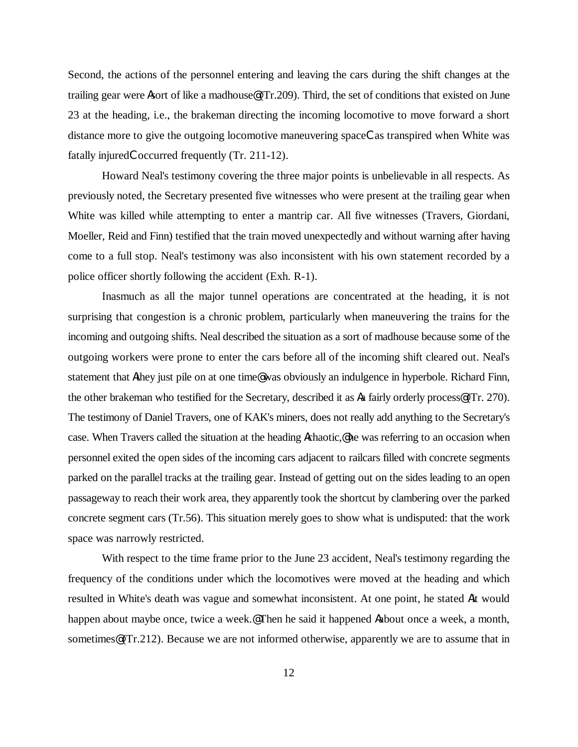Second, the actions of the personnel entering and leaving the cars during the shift changes at the trailing gear were Asort of like a madhouse@ (Tr.209). Third, the set of conditions that existed on June 23 at the heading, i.e., the brakeman directing the incoming locomotive to move forward a short distance more to give the outgoing locomotive maneuvering spaceCas transpired when White was fatally injuredCoccurred frequently (Tr. 211-12).

Howard Neal's testimony covering the three major points is unbelievable in all respects. As previously noted, the Secretary presented five witnesses who were present at the trailing gear when White was killed while attempting to enter a mantrip car. All five witnesses (Travers, Giordani, Moeller, Reid and Finn) testified that the train moved unexpectedly and without warning after having come to a full stop. Neal's testimony was also inconsistent with his own statement recorded by a police officer shortly following the accident (Exh. R-1).

Inasmuch as all the major tunnel operations are concentrated at the heading, it is not surprising that congestion is a chronic problem, particularly when maneuvering the trains for the incoming and outgoing shifts. Neal described the situation as a sort of madhouse because some of the outgoing workers were prone to enter the cars before all of the incoming shift cleared out. Neal's statement that Athey just pile on at one time@ was obviously an indulgence in hyperbole. Richard Finn, the other brakeman who testified for the Secretary, described it as Aa fairly orderly process@ (Tr. 270). The testimony of Daniel Travers, one of KAK's miners, does not really add anything to the Secretary's case. When Travers called the situation at the heading Achaotic,@ he was referring to an occasion when personnel exited the open sides of the incoming cars adjacent to railcars filled with concrete segments parked on the parallel tracks at the trailing gear. Instead of getting out on the sides leading to an open passageway to reach their work area, they apparently took the shortcut by clambering over the parked concrete segment cars (Tr.56). This situation merely goes to show what is undisputed: that the work space was narrowly restricted.

With respect to the time frame prior to the June 23 accident, Neal's testimony regarding the frequency of the conditions under which the locomotives were moved at the heading and which resulted in White's death was vague and somewhat inconsistent. At one point, he stated Ait would happen about maybe once, twice a week.@ Then he said it happened Aabout once a week, a month, sometimes (Tr.212). Because we are not informed otherwise, apparently we are to assume that in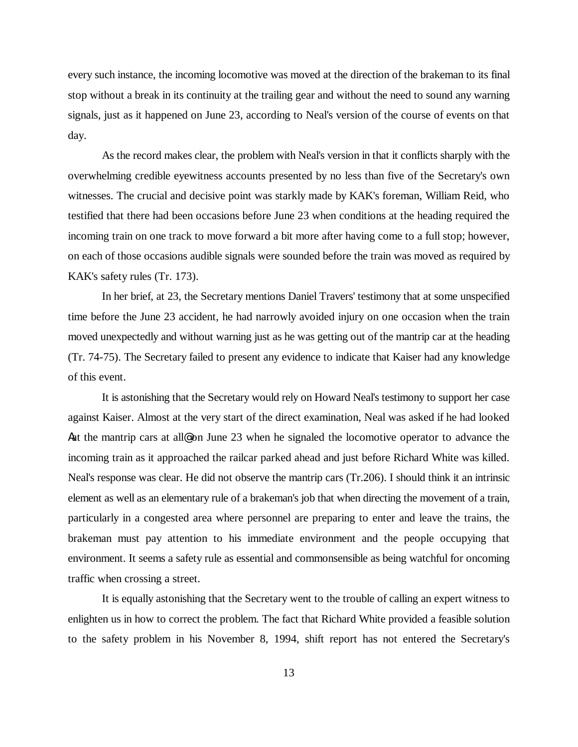every such instance, the incoming locomotive was moved at the direction of the brakeman to its final stop without a break in its continuity at the trailing gear and without the need to sound any warning signals, just as it happened on June 23, according to Neal's version of the course of events on that day.

As the record makes clear, the problem with Neal's version in that it conflicts sharply with the overwhelming credible eyewitness accounts presented by no less than five of the Secretary's own witnesses. The crucial and decisive point was starkly made by KAK's foreman, William Reid, who testified that there had been occasions before June 23 when conditions at the heading required the incoming train on one track to move forward a bit more after having come to a full stop; however, on each of those occasions audible signals were sounded before the train was moved as required by KAK's safety rules (Tr. 173).

In her brief, at 23, the Secretary mentions Daniel Travers' testimony that at some unspecified time before the June 23 accident, he had narrowly avoided injury on one occasion when the train moved unexpectedly and without warning just as he was getting out of the mantrip car at the heading (Tr. 74-75). The Secretary failed to present any evidence to indicate that Kaiser had any knowledge of this event.

It is astonishing that the Secretary would rely on Howard Neal's testimony to support her case against Kaiser. Almost at the very start of the direct examination, Neal was asked if he had looked Aat the mantrip cars at all on June 23 when he signaled the locomotive operator to advance the incoming train as it approached the railcar parked ahead and just before Richard White was killed. Neal's response was clear. He did not observe the mantrip cars (Tr.206). I should think it an intrinsic element as well as an elementary rule of a brakeman's job that when directing the movement of a train, particularly in a congested area where personnel are preparing to enter and leave the trains, the brakeman must pay attention to his immediate environment and the people occupying that environment. It seems a safety rule as essential and commonsensible as being watchful for oncoming traffic when crossing a street.

It is equally astonishing that the Secretary went to the trouble of calling an expert witness to enlighten us in how to correct the problem. The fact that Richard White provided a feasible solution to the safety problem in his November 8, 1994, shift report has not entered the Secretary's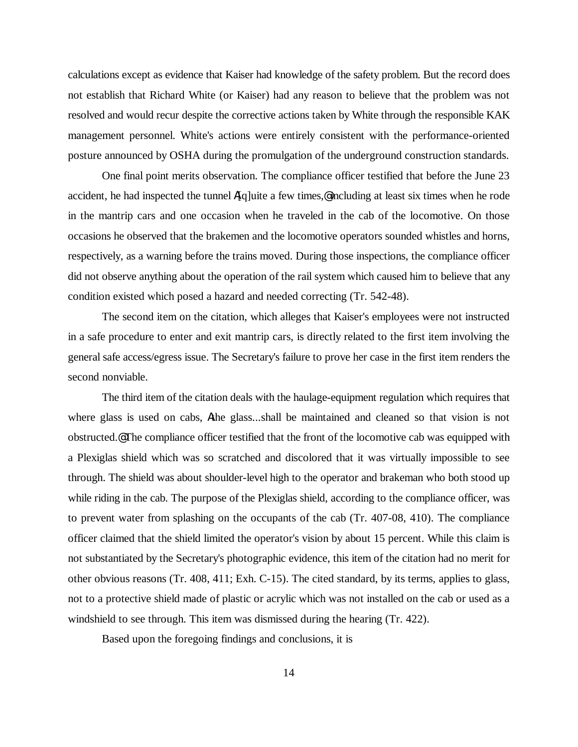calculations except as evidence that Kaiser had knowledge of the safety problem. But the record does not establish that Richard White (or Kaiser) had any reason to believe that the problem was not resolved and would recur despite the corrective actions taken by White through the responsible KAK management personnel. White's actions were entirely consistent with the performance-oriented posture announced by OSHA during the promulgation of the underground construction standards.

One final point merits observation. The compliance officer testified that before the June 23 accident, he had inspected the tunnel  $A[q]$ uite a few times, eincluding at least six times when he rode in the mantrip cars and one occasion when he traveled in the cab of the locomotive. On those occasions he observed that the brakemen and the locomotive operators sounded whistles and horns, respectively, as a warning before the trains moved. During those inspections, the compliance officer did not observe anything about the operation of the rail system which caused him to believe that any condition existed which posed a hazard and needed correcting (Tr. 542-48).

The second item on the citation, which alleges that Kaiser's employees were not instructed in a safe procedure to enter and exit mantrip cars, is directly related to the first item involving the general safe access/egress issue. The Secretary's failure to prove her case in the first item renders the second nonviable.

The third item of the citation deals with the haulage-equipment regulation which requires that where glass is used on cabs, Athe glass...shall be maintained and cleaned so that vision is not obstructed.@ The compliance officer testified that the front of the locomotive cab was equipped with a Plexiglas shield which was so scratched and discolored that it was virtually impossible to see through. The shield was about shoulder-level high to the operator and brakeman who both stood up while riding in the cab. The purpose of the Plexiglas shield, according to the compliance officer, was to prevent water from splashing on the occupants of the cab (Tr. 407-08, 410). The compliance officer claimed that the shield limited the operator's vision by about 15 percent. While this claim is not substantiated by the Secretary's photographic evidence, this item of the citation had no merit for other obvious reasons (Tr. 408, 411; Exh. C-15). The cited standard, by its terms, applies to glass, not to a protective shield made of plastic or acrylic which was not installed on the cab or used as a windshield to see through. This item was dismissed during the hearing (Tr. 422).

Based upon the foregoing findings and conclusions, it is